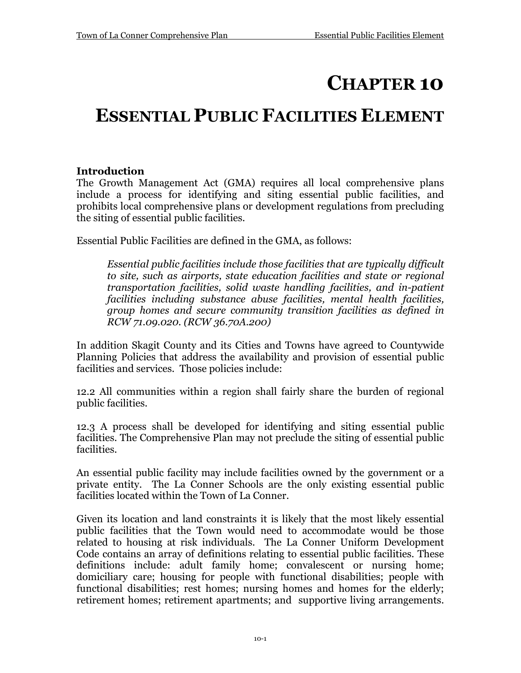# **CHAPTER 10**

# **ESSENTIAL PUBLIC FACILITIES ELEMENT**

### **Introduction**

The Growth Management Act (GMA) requires all local comprehensive plans include a process for identifying and siting essential public facilities, and prohibits local comprehensive plans or development regulations from precluding the siting of essential public facilities.

Essential Public Facilities are defined in the GMA, as follows:

*Essential public facilities include those facilities that are typically difficult to site, such as airports, state education facilities and state or regional transportation facilities, solid waste handling facilities, and in-patient facilities including substance abuse facilities, mental health facilities, group homes and secure community transition facilities as defined in RCW 71.09.020. (RCW 36.70A.200)*

In addition Skagit County and its Cities and Towns have agreed to Countywide Planning Policies that address the availability and provision of essential public facilities and services. Those policies include:

12.2 All communities within a region shall fairly share the burden of regional public facilities.

12.3 A process shall be developed for identifying and siting essential public facilities. The Comprehensive Plan may not preclude the siting of essential public facilities.

An essential public facility may include facilities owned by the government or a private entity. The La Conner Schools are the only existing essential public facilities located within the Town of La Conner.

Given its location and land constraints it is likely that the most likely essential public facilities that the Town would need to accommodate would be those related to housing at risk individuals. The La Conner Uniform Development Code contains an array of definitions relating to essential public facilities. These definitions include: adult family home; convalescent or nursing home; domiciliary care; housing for people with functional disabilities; people with functional disabilities; rest homes; nursing homes and homes for the elderly; retirement homes; retirement apartments; and supportive living arrangements.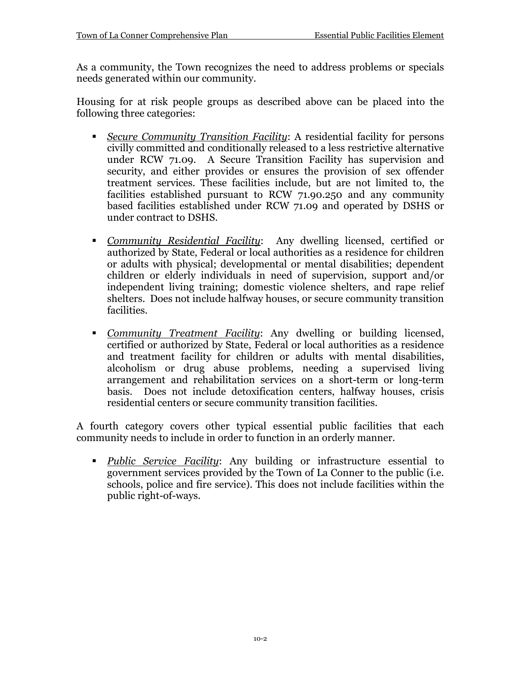As a community, the Town recognizes the need to address problems or specials needs generated within our community.

Housing for at risk people groups as described above can be placed into the following three categories:

- *Secure Community Transition Facility*: A residential facility for persons civilly committed and conditionally released to a less restrictive alternative under RCW 71.09. A Secure Transition Facility has supervision and security, and either provides or ensures the provision of sex offender treatment services. These facilities include, but are not limited to, the facilities established pursuant to RCW 71.90.250 and any community based facilities established under RCW 71.09 and operated by DSHS or under contract to DSHS.
- *Community Residential Facility*: Any dwelling licensed, certified or authorized by State, Federal or local authorities as a residence for children or adults with physical; developmental or mental disabilities; dependent children or elderly individuals in need of supervision, support and/or independent living training; domestic violence shelters, and rape relief shelters. Does not include halfway houses, or secure community transition facilities.
- *Community Treatment Facility*: Any dwelling or building licensed, certified or authorized by State, Federal or local authorities as a residence and treatment facility for children or adults with mental disabilities, alcoholism or drug abuse problems, needing a supervised living arrangement and rehabilitation services on a short-term or long-term basis. Does not include detoxification centers, halfway houses, crisis residential centers or secure community transition facilities.

A fourth category covers other typical essential public facilities that each community needs to include in order to function in an orderly manner.

 *Public Service Facility*: Any building or infrastructure essential to government services provided by the Town of La Conner to the public (i.e. schools, police and fire service). This does not include facilities within the public right-of-ways.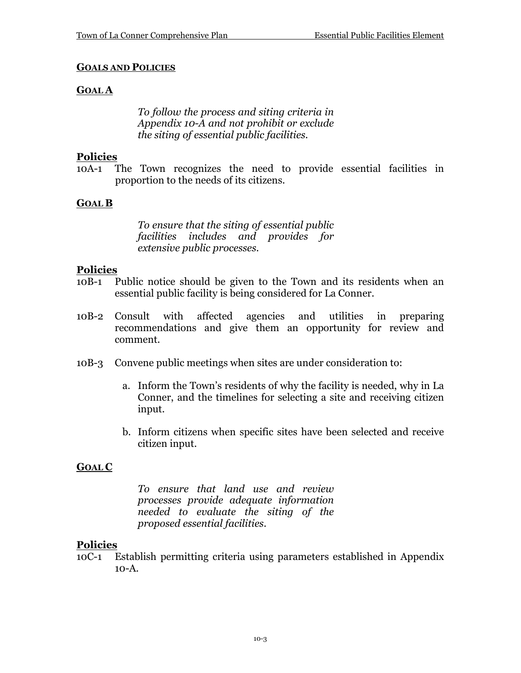#### **GOALS AND POLICIES**

### **GOAL A**

*To follow the process and siting criteria in Appendix 10-A and not prohibit or exclude the siting of essential public facilities.*

#### **Policies**

10A-1 The Town recognizes the need to provide essential facilities in proportion to the needs of its citizens.

# **GOAL B**

*To ensure that the siting of essential public facilities includes and provides for extensive public processes.*

#### **Policies**

- 10B-1 Public notice should be given to the Town and its residents when an essential public facility is being considered for La Conner.
- 10B-2 Consult with affected agencies and utilities in preparing recommendations and give them an opportunity for review and comment.
- 10B-3 Convene public meetings when sites are under consideration to:
	- a. Inform the Town's residents of why the facility is needed, why in La Conner, and the timelines for selecting a site and receiving citizen input.
	- b. Inform citizens when specific sites have been selected and receive citizen input.

# **GOAL C**

*To ensure that land use and review processes provide adequate information needed to evaluate the siting of the proposed essential facilities.*

#### **Policies**

10C-1 Establish permitting criteria using parameters established in Appendix  $10-A$ .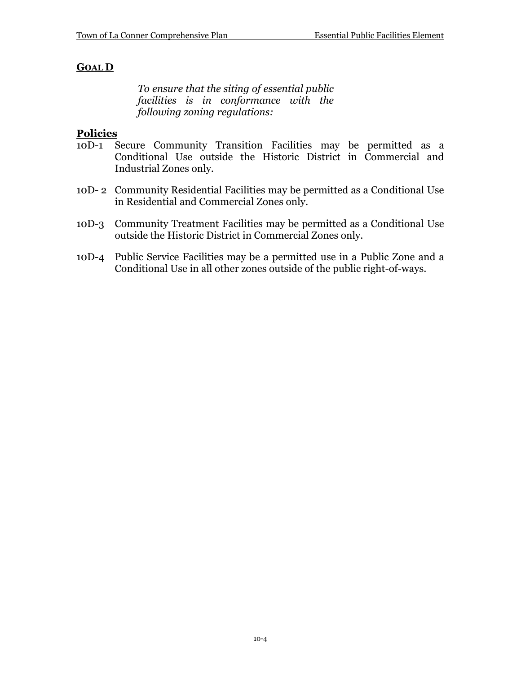# **GOAL D**

*To ensure that the siting of essential public facilities is in conformance with the following zoning regulations:*

### **Policies**

- 10D-1 Secure Community Transition Facilities may be permitted as a Conditional Use outside the Historic District in Commercial and Industrial Zones only.
- 10D- 2 Community Residential Facilities may be permitted as a Conditional Use in Residential and Commercial Zones only.
- 10D-3 Community Treatment Facilities may be permitted as a Conditional Use outside the Historic District in Commercial Zones only.
- 10D-4 Public Service Facilities may be a permitted use in a Public Zone and a Conditional Use in all other zones outside of the public right-of-ways.